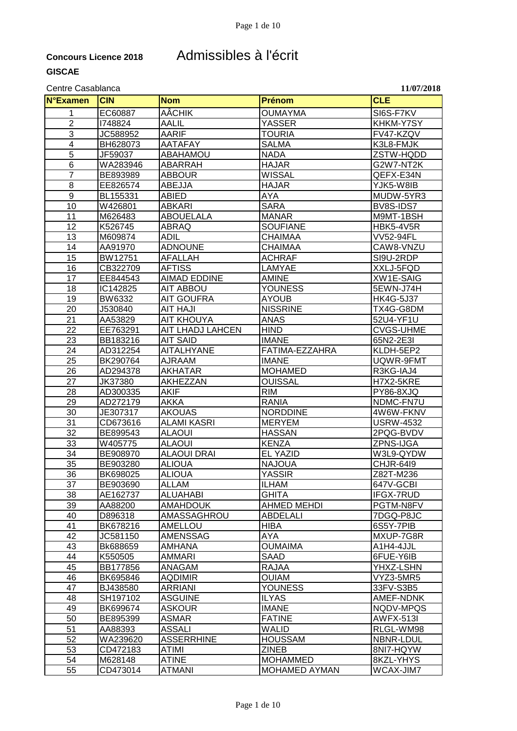### **Concours Licence 2018** Admissibles à l'écrit

#### Centre Casablanca **11/07/2018**

**N°Examen CIN Nom Prénom CLE** 1 EC60887 |AÂCHIK |OUMAYMA | |SI6S-F7KV 2 I748824 AALIL YASSER KHKM-Y7SY 3 JC588952 AARIF TOURIA FV47-KZQV 4 BH628073 AATAFAY SALMA ISALMA K3L8-FMJK 5 JF59037 ABAHAMOU NADA ZSTW-HQDD 6 WA283946 ABARRAH HAJAR G2W7-NT2K 7 BE893989 ABBOUR WISSAL QEFX-E34N 8 EE826574 ABEJJA HAJAR YJK5-W8IB<br>9 BL155331 ABIED AYA MUDW-5YF 9 BL155331 ABIED AYA MUDW-5YR3 10 W426801 ABKARI SARA BV8S-IDS7 11 |M626483 |ABOUELALA |MANAR | M9MT-1BSH 12 |K526745 |ABRAQ |SOUFIANE |HBK5-4V5R 13 M609874 ADIL CHAIMAA VV52-94FL 14 AA91970 ADNOUNE CHAIMAA CAW8-VNZU 15 BW12751 |AFALLAH |ACHRAF | SI9U-2RDP 16 CB322709 AFTISS LAMYAE XXLJ-5FQD 17 |EE844543 |AIMAD\_EDDINE |AMINE \_\_\_\_\_\_\_\_\_\_\_\_\_\_\_|XW1E-SAIG<br>18 |IC142825 |AIT\_ABBOU | YOUNESS \_\_\_\_\_\_\_\_\_|5EWN-J74H IC142825 AIT ABBOU YOUNESS 5EWN-J74H 19 BW6332 |AIT GOUFRA |AYOUB |HK4G-5J37 20 J530840 AIT HAJI NISSRINE TX4G-G8DM 21 |AA53829 |AIT\_KHOUYA | |ANAS | |52U4-YF1U<br>22 |EE763291 |AIT\_LHADJ\_LAHCEN |HIND | |CVGS-UHME 22 EE763291 AIT LHADJ LAHCEN HIND CVGS-UH<br>23 BB183216 AIT SAID IMANE 65N2-2E3I 23 |BB183216 |AIT\_SAID |IMANE |IMANE |65N2-2E3I 24 | AD312254 | AITALHYANE | FATIMA-EZZAHRA | KLDH-5EP2<br>25 | BK290764 | AJRAAM | IMANE | IMANE | IUQWR-9FM 25 BK290764 AJRAAM IMANE UQWR-9FMT 26 | AD294378 | AKHATAR | MOHAMED | R3KG-IAJ4 27 JK37380 AKHEZZAN OUISSAL H7X2-5KRE 28 AD300335 AKIF RIM PY86-8XJQ 29 AD272179 AKKA RANIA NDMC-FN7U 30 JE307317 AKOUAS NORDDINE | 4W6W-FKNV<br>31 | CD673616 | ALAMI KASRI | MERYEM | USRW-4532 31 CD673616 ALAMI KASRI MERYEM 32 BE899543 ALAOUI HASSAN 2PQG-BVDV 33 W405775 ALAOUI KENZA ZPNS-IJGA 34 BE908970 ALAOUI DRAI EL YAZID W3L9-QYDW 35 BE903280 ALIOUA <u>| NAJOUA | KAJOUA | CHJR-64I9</u> 36 BK698025 ALIOUA YASSIR Z82T-M236 37 BE903690 ALLAM ILHAM ILAM 647V-GCBI 38 |AE162737 |ALUAHABI |GHITA |IFGX-7RUD 39 |AA88200 |AMAHDOUK |AHMED MEHDI | PGTM-N8FV 40 D896318 AMASSAGHROU ABDELALI 7DGQ-P8JC 41 BK678216 AMELLOU HIBA 6S5Y-7PIB 42 JC581150 AMENSSAG AYA MXUP-7G8R 43 |Bk688659 |AMHANA | |OUMAIMA | |A1H4-4JJL 44 K550505 AMMARI SAAD 6FUE-Y6IB 45 BB177856 ANAGAM RAJAA YHXZ-LSHN 46 BK695846 AQDIMIR OUIAM VYZ3-5MR5 47 |BJ438580 |ARRIANI |YOUNESS |33FV-S3B5 48 SH197102 ASGUINE ILYAS AMEF-NDNK 49 BK699674 ASKOUR IMANE NQDV-MPQS 50 **BE895399 ASMAR** FATINE HAWFX-513I 51 AA88393 ASSALI WALID RLGL-WM98 52 WA239620 ASSERRHINE HOUSSAM NBNR-LDUL 53 CD472183 ATIMI ZINEB 8NI7-HQYW 54 | M628148 | ATINE | MOHAMMED | 8KZL-YHYS 55 CD473014 ATMANI MOHAMED AYMAN WCAX-JIM7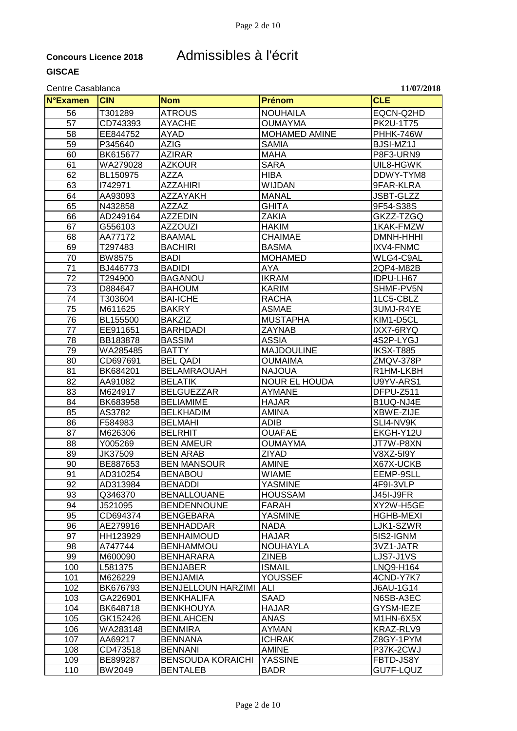## **Concours Licence 2018** Admissibles à l'écrit

| <b>N°Examen</b> | <b>CIN</b>    | <b>Nom</b>                                   | Prénom               | <b>CLE</b>       |
|-----------------|---------------|----------------------------------------------|----------------------|------------------|
|                 |               |                                              |                      |                  |
| 56              | T301289       | <b>ATROUS</b>                                | <b>NOUHAILA</b>      | EQCN-Q2HD        |
| 57              | CD743393      | <b>AYACHE</b>                                | <b>OUMAYMA</b>       | PK2U-1T75        |
| 58              | EE844752      | <b>AYAD</b>                                  | <b>MOHAMED AMINE</b> | PHHK-746W        |
| 59              | P345640       | <b>AZIG</b>                                  | SAMIA                | BJSI-MZ1J        |
| 60              | BK615677      | <b>AZIRAR</b>                                | <b>MAHA</b>          | P8F3-URN9        |
| 61              | WA279028      | <b>AZKOUR</b>                                | <b>SARA</b>          | UIL8-HGWK        |
| 62              | BL150975      | AZZA                                         | <b>HIBA</b>          | DDWY-TYM8        |
| 63              | 1742971       | <b>AZZAHIRI</b>                              | <b>WIJDAN</b>        | 9FAR-KLRA        |
| 64              | AA93093       | AZZAYAKH                                     | <b>MANAL</b>         | <b>JSBT-GLZZ</b> |
| 65              | N432858       | <b>AZZAZ</b>                                 | <b>GHITA</b>         | 9F54-S38S        |
| 66              | AD249164      | <b>AZZEDIN</b>                               | ZAKIA                | GKZZ-TZGQ        |
| 67              | G556103       | <b>AZZOUZI</b>                               | <b>HAKIM</b>         | 1KAK-FMZW        |
| 68              | AA77172       | <b>BAAMAL</b>                                | <b>CHAIMAE</b>       | DMNH-HHHI        |
| 69              | T297483       | <b>BACHIRI</b>                               | <b>BASMA</b>         | IXV4-FNMC        |
| 70              | <b>BW8575</b> | <b>BADI</b>                                  | <b>MOHAMED</b>       | WLG4-C9AL        |
| 71              | BJ446773      | <b>BADIDI</b>                                | AYA                  | 2QP4-M82B        |
| 72              | T294900       | <b>BAGANOU</b>                               | <b>IKRAM</b>         | IDPU-LH67        |
| 73              | D884647       | <b>BAHOUM</b>                                | <b>KARIM</b>         | SHMF-PV5N        |
| 74              | T303604       | <b>BAI-ICHE</b>                              | <b>RACHA</b>         | 1LC5-CBLZ        |
| 75              | M611625       | <b>BAKRY</b>                                 | <b>ASMAE</b>         | 3UMJ-R4YE        |
| 76              | BL155500      | <b>BAKZIZ</b>                                | <b>MUSTAPHA</b>      | KIM1-D5CL        |
| 77              | EE911651      | <b>BARHDADI</b>                              | ZAYNAB               | IXX7-6RYQ        |
| 78              | BB183878      | <b>BASSIM</b>                                | ASSIA                | 4S2P-LYGJ        |
| 79              | WA285485      | <b>BATTY</b>                                 | <b>MAJDOULINE</b>    | IKSX-T885        |
| 80              | CD697691      | <b>BEL QADI</b>                              | OUMAIMA              | ZMQV-378P        |
| 81              | BK684201      | <b>BELAMRAOUAH</b>                           | <b>NAJOUA</b>        | R1HM-LKBH        |
| 82              | AA91082       | <b>BELATIK</b>                               | <b>NOUR EL HOUDA</b> | U9YV-ARS1        |
| 83              | M624917       | <b>BELGUEZZAR</b>                            | <b>AYMANE</b>        | DFPU-Z511        |
| 84              | BK683958      | <b>BELIAMIME</b>                             | <b>HAJAR</b>         | B1UQ-NJ4E        |
| 85              | AS3782        | <b>BELKHADIM</b>                             | <b>AMINA</b>         | XBWE-ZIJE        |
| 86              | F584983       | <b>BELMAHI</b>                               | ADIB                 | SLI4-NV9K        |
| 87              | M626306       | <b>BELRHIT</b>                               | <b>OUAFAE</b>        | EKGH-Y12U        |
| 88              | Y005269       | <b>BEN AMEUR</b>                             | <b>OUMAYMA</b>       | JT7W-P8XN        |
| 89              | JK37509       | <b>BEN ARAB</b>                              | ZIYAD                | V8XZ-5I9Y        |
| 90              | BE887653      | <b>BEN MANSOUR</b>                           | <b>AMINE</b>         | X67X-UCKB        |
| 91              | AD310254      | <b>BENABOU</b>                               | <b>WIAME</b>         | EEMP-9SLL        |
| 92              | AD313984      | <b>BENADDI</b>                               | <b>YASMINE</b>       | 4F9I-3VLP        |
| 93              | Q346370       | <b>BENALLOUANE</b>                           | <b>HOUSSAM</b>       | <b>J45I-J9FR</b> |
| 94              | J521095       | <b>BENDENNOUNE</b>                           | <b>FARAH</b>         | XY2W-H5GE        |
| 95              | CD694374      | <b>BENGEBARA</b>                             | <b>YASMINE</b>       | <b>HGHB-MEXI</b> |
| 96              | AE279916      | <b>BENHADDAR</b>                             | <b>NADA</b>          | LJK1-SZWR        |
| 97              | HH123929      | <b>BENHAIMOUD</b>                            | <b>HAJAR</b>         | 5IS2-IGNM        |
| 98              | A747744       | <b>BENHAMMOU</b>                             | <b>NOUHAYLA</b>      | 3VZ1-JATR        |
| 99              | M600090       | <b>BENHARARA</b>                             | <b>ZINEB</b>         | LJS7-J1VS        |
| 100             | L581375       | <b>BENJABER</b>                              | <b>ISMAIL</b>        |                  |
|                 |               |                                              |                      | LNQ9-H164        |
| 101             | M626229       | <b>BENJAMIA</b><br><b>BENJELLOUN HARZIMI</b> | YOUSSEF              | 4CND-Y7K7        |
| 102             | BK676793      |                                              | ALI                  | J6AU-1G14        |
| 103             | GA226901      | <b>BENKHALIFA</b>                            | SAAD                 | N6SB-A3EC        |
| 104             | BK648718      | <b>BENKHOUYA</b>                             | <b>HAJAR</b>         | GYSM-IEZE        |
| 105             | GK152426      | <b>BENLAHCEN</b>                             | <b>ANAS</b>          | M1HN-6X5X        |
| 106             | WA283148      | <b>BENMIRA</b>                               | AYMAN                | KRAZ-RLV9        |
| 107             | AA69217       | <b>BENNANA</b>                               | <b>ICHRAK</b>        | Z8GY-1PYM        |
| 108             | CD473518      | <b>BENNANI</b>                               | <b>AMINE</b>         | P37K-2CWJ        |
| 109             | BE899287      | <b>BENSOUDA KORAICHI</b>                     | <b>YASSINE</b>       | FBTD-JS8Y        |
| 110             | BW2049        | <b>BENTALEB</b>                              | <b>BADR</b>          | GU7F-LQUZ        |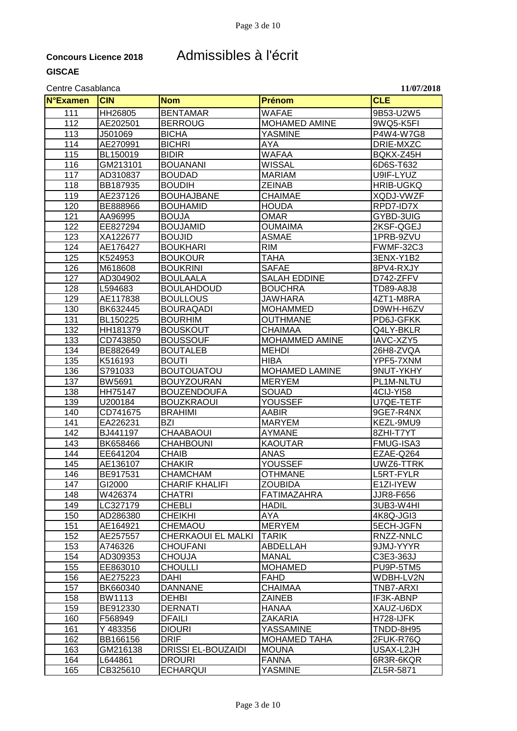## **Concours Licence 2018** Admissibles à l'écrit

| <b>N°Examen</b> | <b>CIN</b>         | <b>Nom</b>                              | Prénom                         | <b>CLE</b>             |
|-----------------|--------------------|-----------------------------------------|--------------------------------|------------------------|
|                 |                    |                                         |                                |                        |
| 111             | HH26805            | <b>BENTAMAR</b>                         | <b>WAFAE</b>                   | 9B53-U2W5              |
| 112             | AE202501           | <b>BERROUG</b>                          | <b>MOHAMED AMINE</b>           | 9WQ5-K5FI              |
| 113             | J501069            | <b>BICHA</b>                            | <b>YASMINE</b>                 | P4W4-W7G8              |
| 114             | AE270991           | <b>BICHRI</b>                           | AYA                            | DRIE-MXZC              |
| 115             | BL150019           | <b>BIDIR</b>                            | <b>WAFAA</b>                   | BQKX-Z45H              |
| 116             | GM213101           | <b>BOUANANI</b>                         | <b>WISSAL</b>                  | 6D6S-T632              |
| 117             | AD310837           | <b>BOUDAD</b>                           | <b>MARIAM</b>                  | U9IF-LYUZ              |
| 118             | BB187935           | <b>BOUDIH</b>                           | <b>ZEINAB</b>                  | <b>HRIB-UGKQ</b>       |
| 119             | AE237126           | <b>BOUHAJBANE</b>                       | <b>CHAIMAE</b>                 | XQDJ-VWZF              |
| 120             | BE888966           | <b>BOUHAMID</b>                         | <b>HOUDA</b>                   | RPD7-ID7X              |
| 121             | AA96995            | <b>BOUJA</b>                            | <b>OMAR</b>                    | GYBD-3UIG              |
| 122             | EE827294           | <b>BOUJAMID</b>                         | <b>OUMAIMA</b>                 | 2KSF-QGEJ              |
| 123             | XA122677           | <b>BOUJID</b>                           | <b>ASMAE</b>                   | 1PRB-9ZVU              |
| 124             | AE176427           | <b>BOUKHARI</b>                         | <b>RIM</b>                     | <b>FWMF-32C3</b>       |
| 125             | K524953            | <b>BOUKOUR</b>                          | <b>TAHA</b>                    | 3ENX-Y1B2              |
| 126             | M618608            | <b>BOUKRINI</b>                         | <b>SAFAE</b>                   | 8PV4-RXJY              |
| 127             | AD304902           | <b>BOULAALA</b>                         | <b>SALAH EDDINE</b>            | D742-ZFFV              |
| 128             | L594683            | <b>BOULAHDOUD</b>                       | <b>BOUCHRA</b>                 | TD89-A8J8              |
| 129             | AE117838           | <b>BOULLOUS</b>                         | <b>JAWHARA</b>                 | 4ZT1-M8RA              |
| 130             | BK632445           | <b>BOURAQADI</b>                        | <b>MOHAMMED</b>                | D9WH-H6ZV              |
| 131             | BL150225           | <b>BOURHIM</b>                          | <b>OUTHMANE</b>                | PD6J-GFKK              |
| 132             | HH181379           | <b>BOUSKOUT</b>                         | <b>CHAIMAA</b>                 | Q4LY-BKLR              |
| 133             | CD743850           | <b>BOUSSOUF</b>                         | MOHAMMED AMINE                 | IAVC-XZY5              |
| 134             | BE882649           | <b>BOUTALEB</b>                         | <b>MEHDI</b>                   | 26H8-ZVQA              |
| 135             | K516193            | <b>BOUTI</b>                            | <b>HIBA</b>                    | YPF5-7XNM              |
| 136             | S791033            | <b>BOUTOUATOU</b>                       | <b>MOHAMED LAMINE</b>          | 9NUT-YKHY              |
| 137             | BW5691             | <b>BOUYZOURAN</b>                       | <b>MERYEM</b>                  | PL1M-NLTU              |
| 138<br>139      | HH75147<br>U200184 | <b>BOUZENDOUFA</b><br><b>BOUZKRAOUI</b> | <b>SOUAD</b><br><b>YOUSSEF</b> | 4CIJ-YI58<br>U7QE-TETF |
|                 | CD741675           |                                         |                                | 9GE7-R4NX              |
| 140<br>141      | EA226231           | <b>BRAHIMI</b><br><b>BZI</b>            | <b>AABIR</b><br><b>MARYEM</b>  | KEZL-9MU9              |
| 142             | BJ441197           | <b>CHAABAOUI</b>                        | <b>AYMANE</b>                  | 8ZHI-T7YT              |
| 143             | BK658466           | <b>CHAHBOUNI</b>                        | <b>KAOUTAR</b>                 | FMUG-ISA3              |
| 144             | EE641204           | <b>CHAIB</b>                            | <b>ANAS</b>                    | EZAE-Q264              |
| 145             | AE136107           | <b>CHAKIR</b>                           | <b>YOUSSEF</b>                 | UWZ6-TTRK              |
| 146             | BE917531           | <b>CHAMCHAM</b>                         | <b>OTHMANE</b>                 | L5RT-FYLR              |
| 147             | GI2000             | <b>CHARIF KHALIFI</b>                   | <b>ZOUBIDA</b>                 | E1ZI-IYEW              |
| 148             | W426374            | <b>CHATRI</b>                           | <b>FATIMAZAHRA</b>             | JJR8-F656              |
| 149             | LC327179           | <b>CHEBLI</b>                           | <b>HADIL</b>                   | 3UB3-W4HI              |
| 150             | AD286380           | <b>CHEIKHI</b>                          | <b>AYA</b>                     | 4K8Q-JGI3              |
| 151             | AE164921           | CHEMAOU                                 | <b>MERYEM</b>                  | 5ECH-JGFN              |
| 152             | AE257557           | <b>CHERKAOUI EL MALKI</b>               | <b>TARIK</b>                   | RNZZ-NNLC              |
| 153             | A746326            | <b>CHOUFANI</b>                         | ABDELLAH                       | 9JMJ-YYYR              |
| 154             | AD309353           | <b>CHOUJA</b>                           | <b>MANAL</b>                   | C3E3-363J              |
| 155             | EE863010           | <b>CHOULLI</b>                          | <b>MOHAMED</b>                 | PU9P-5TM5              |
| 156             | AE275223           | <b>DAHI</b>                             | <b>FAHD</b>                    | WDBH-LV2N              |
| 157             | BK660340           | <b>DANNANE</b>                          | <b>CHAIMAA</b>                 | TNB7-ARXI              |
| 158             | BW1113             | <b>DEHBI</b>                            | <b>ZAINEB</b>                  | IF3K-ABNP              |
| 159             | BE912330           | <b>DERNATI</b>                          | <b>HANAA</b>                   | XAUZ-U6DX              |
| 160             | F568949            | <b>DFAILI</b>                           | <b>ZAKARIA</b>                 | H728-IJFK              |
| 161             | Y 483356           | <b>DIOURI</b>                           | YASSAMINE                      | TNDD-8H95              |
| 162             | BB166156           | <b>DRIF</b>                             | <b>MOHAMED TAHA</b>            | 2FUK-R76Q              |
| 163             | GM216138           | DRISSI EL-BOUZAIDI                      | <b>MOUNA</b>                   | USAX-L2JH              |
| 164             | L644861            | <b>DROURI</b>                           | <b>FANNA</b>                   | 6R3R-6KQR              |
| 165             | CB325610           | <b>ECHARQUI</b>                         | <b>YASMINE</b>                 | ZL5R-5871              |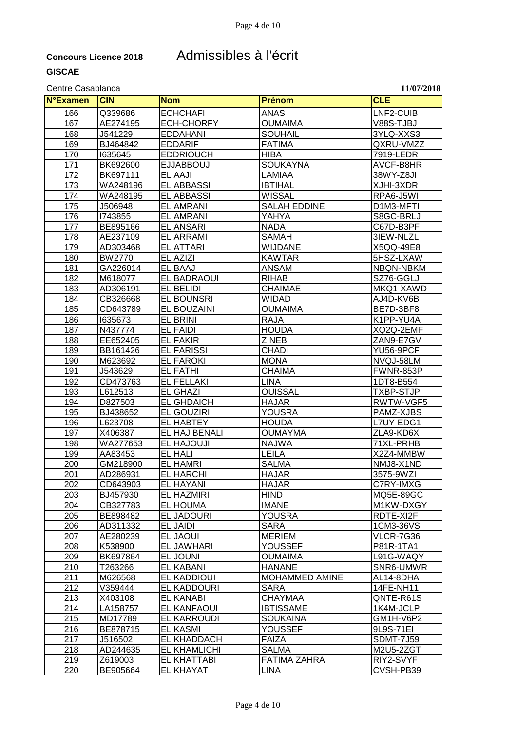### **Concours Licence 2018** Admissibles à l'écrit

#### Centre Casablanca **11/07/2018**

**N°Examen CIN Nom Prénom CLE** 166 | Q339686 | ECHCHAFI | ANAS | LNF2-CUIB 167 | AE274195 | ECH-CHORFY | OUMAIMA | V88S-TJBJ 168 J541229 EDDAHANI SOUHAIL 3YLQ-XXS3 169 BJ464842 EDDARIF FATIMA QXRU-VMZZ 170 I635645 EDDRIOUCH HIBA 7919-LEDR 171 BK692600 EJJABBOUJ SOUKAYNA AVCF-B8HR 172 BK697111 EL AAJI LAMIAA 38WY-Z8JI <u>173 |WA248196 |EL\_ABBASSI |BTIHAL |XJHI-3XDR</u><br>174 |WA248195 |EL\_ABBASSI |WISSAL |XJERPA6-J5WI **EL ABBASSI** 175 J506948 EL AMRANI SALAH EDDINE D1M3-MFTI 176 I743855 EL AMRANI YAHYA S8GC-BRLJ 177 |BE895166 |EL\_ANSARI |NADA | |NADA | |C67D-B3PF 178 | AE237109 | EL ARRAMI | SAMAH | 3IEW-NLZL 179 | AD303468 | EL ATTARI | WIJDANE | X5QQ-49E8 180 BW2770 EL AZIZI KAWTAR 5HSZ-LXAW 181 GA226014 EL BAAJ ANSAM NBQN-NBKM 182 |M618077 |EL BADRAOUI |RIHAB | SZ76-GGLJ 183 |AD306191 |EL BELIDI |CHAIMAE | MKQ1-XAWD 184 | CB326668 | EL BOUNSRI | WIDAD | AJ4D-KV6B 185 | CD643789 | EL BOUZAINI | OUMAIMA | BE7D-3BF8 186 I635673 EL BRINI RAJA K1PP-YU4A 187 |N437774 |EL FAIDI |HOUDA |XQ2Q-2EMF 188 EE652405 EL FAKIR ZINEB ZAN9-E7GV 189 BB161426 EL FARISSI CHADI YU56-9PCF 190 M623692 EL FAROKI MONA NVQJ-58LM 191 J543629 EL FATHI CHAIMA FWNR-853P 192 | CD473763 | EL FELLAKI | LINA | LINA | 1DT8-B554 193 L612513 EL GHAZI OUISSAL TXBP-STJP 194 D827503 EL GHDAICH HAJAR RWTW-VGF5 195 BJ438652 EL GOUZIRI YOUSRA PAMZ-XJBS 196 | L623708 | EL HABTEY 197 | X406387 | EL HAJ BENALI | OUMAYMA | ZLA9-KD6X 198 WA277653 EL HAJOUJI NAJWA 71XL-PRHB 199 AA83453 EL HALI LEILA X2Z4-MMBW 200 GM218900 EL.HAMRI SALMA NMJ8-X1ND 201 AD286931 EL HARCHI HAJAR 3575-9WZI 202 CD643903 EL HAYANI HAJAR C7RY-IMXG 203 BJ457930 EL HAZMIRI HIND MQ5E-89GC<br>204 CB327783 EL HOUMA MANE MANE M1KW-DXG' 204 | CB327783 | EL HOUMA | IMANE | M1KW-DXGY 205 BE898482 EL JADOURI YOUSRA RDTE-XI2F 206 AD311332 EL JAIDI SARA 1CM3-36VS 207 AE280239 EL JAOUI MERIEM VLCR-7G36 208 | K538900 | EL JAWHARI | YOUSSEF | P81R-1TA1 209 BK697864 EL JOUNI OUMAIMA L91G-WAQY 210 T263266 EL KABANI HANANE SNR6-UMWR 211 M626568 EL KADDIOUI MOHAMMED AMINE AL14-8DHA 212 V359444 EL KADDOURI SARA 14FE-NH11 213 X403108 EL KANABI CHAYMAA QNTE-R61S 214 | LA158757 | EL KANFAOUI | IBTISSAME | 1K4M-JCLP 215 MD17789 EL KARROUDI SOUKAINA GM1H-V6P2 216 BE878715 EL KASMI YOUSSEF 9L9S-71EI 217 J516502 EL KHADDACH FAIZA SDMT-7J59 218 AD244635 EL KHAMLICHI SALMA M2U5-2ZGT 219 | Z619003 | EL KHATTABI | FATIMA ZAHRA | RIY2-SVYF 220 BE905664 EL KHAYAT LINA CVSH-PB39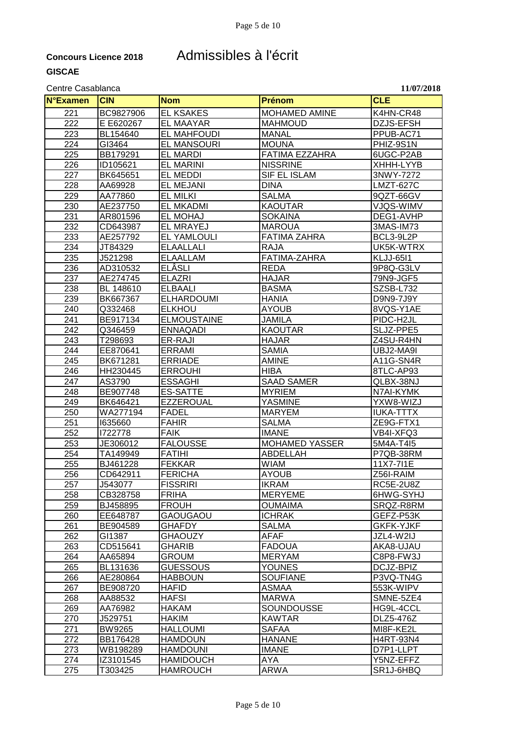## **Concours Licence 2018** Admissibles à l'écrit

| <b>N°Examen</b> | <b>CIN</b>           | <b>Nom</b>                       | Prénom                          | <b>CLE</b>             |
|-----------------|----------------------|----------------------------------|---------------------------------|------------------------|
| 221             | BC9827906            | <b>EL KSAKES</b>                 | <b>MOHAMED AMINE</b>            | K4HN-CR48              |
| 222             | E E620267            | <b>EL MAAYAR</b>                 | <b>MAHMOUD</b>                  | DZJS-EFSH              |
| 223             | BL154640             | <b>EL MAHFOUDI</b>               | <b>MANAL</b>                    | PPUB-AC71              |
| 224             | GI3464               | <b>EL MANSOURI</b>               | <b>MOUNA</b>                    | PHIZ-9S1N              |
| 225             | BB179291             | <b>EL MARDI</b>                  | FATIMA EZZAHRA                  | 6UGC-P2AB              |
| 226             | ID105621             | <b>EL MARINI</b>                 | <b>NISSRINE</b>                 | XHHH-LYYB              |
| 227             | BK645651             | EL MEDDI                         | SIF EL ISLAM                    | 3NWY-7272              |
| 228             | AA69928              | <b>EL MEJANI</b>                 | <b>DINA</b>                     | LMZT-627C              |
| 229             | AA77860              | <b>EL MILKI</b>                  | <b>SALMA</b>                    | 9QZT-66GV              |
| 230             | AE237750             | <b>EL MKADMI</b>                 | <b>KAOUTAR</b>                  | VJQS-WIMV              |
|                 |                      |                                  | <b>SOKAINA</b>                  |                        |
| 231             | AR801596             | EL MOHAJ                         |                                 | DEG1-AVHP              |
| 232             | CD643987             | <b>EL MRAYEJ</b>                 | <b>MAROUA</b>                   | 3MAS-IM73              |
| 233             | AE257792             | <b>EL YAMLOULI</b>               | <b>FATIMA ZAHRA</b>             | BCL3-9L2P              |
| 234             | JT84329              | <b>ELAALLALI</b>                 | <b>RAJA</b>                     | UK5K-WTRX              |
| 235             | J521298              | <b>ELAALLAM</b>                  | FATIMA-ZAHRA                    | <b>KLJJ-6511</b>       |
| 236             | AD310532             | <b>ELÂSLI</b>                    | <b>REDA</b>                     | 9P8Q-G3LV              |
| 237             | AE274745             | <b>ELAZRI</b>                    | <b>HAJAR</b>                    | 79N9-JGF5              |
| 238             | BL 148610            | <b>ELBAALI</b>                   | <b>BASMA</b>                    | SZSB-L732              |
| 239             | BK667367             | <b>ELHARDOUMI</b>                | <b>HANIA</b>                    | D9N9-7J9Y              |
| 240             | Q332468              | <b>ELKHOU</b>                    | <b>AYOUB</b>                    | 8VQS-Y1AE              |
| 241             | BE917134             | <b>ELMOUSTAINE</b>               | <b>JAMILA</b>                   | PIDC-H2JL              |
| 242             | Q346459              | <b>ENNAQADI</b>                  | <b>KAOUTAR</b>                  | SLJZ-PPE5              |
| 243             | T298693              | ER-RAJI                          | <b>HAJAR</b>                    | Z4SU-R4HN              |
| 244             | EE870641             | <b>ERRAMI</b>                    | <b>SAMIA</b>                    | UBJ2-MA9I              |
| 245             | BK671281             | <b>ERRIADE</b>                   | <b>AMINE</b>                    | A11G-SN4R              |
| 246             | HH230445             | <b>ERROUHI</b>                   | <b>HIBA</b>                     | 8TLC-AP93              |
| 247             | AS3790               | <b>ESSAGHI</b>                   | <b>SAAD SAMER</b>               | QLBX-38NJ              |
| 248<br>249      | BE907748             | <b>ES-SATTE</b>                  | <b>MYRIEM</b>                   | N7AI-KYMK<br>YXW8-WIZJ |
| 250             | BK646421<br>WA277194 | <b>EZZEROUAL</b><br><b>FADEL</b> | <b>YASMINE</b><br><b>MARYEM</b> | <b>IUKA-TTTX</b>       |
| 251             | 1635660              | <b>FAHIR</b>                     | <b>SALMA</b>                    | ZE9G-FTX1              |
| 252             | 1722778              | <b>FAIK</b>                      | <b>IMANE</b>                    | VB4I-XFQ3              |
| 253             | JE306012             | <b>FALOUSSE</b>                  | <b>MOHAMED YASSER</b>           | 5M4A-T4I5              |
| 254             | TA149949             | <b>FATIHI</b>                    | ABDELLAH                        | P7QB-38RM              |
| 255             | BJ461228             | <b>FEKKAR</b>                    | <b>WIAM</b>                     | 11X7-711E              |
| 256             | CD642911             | <b>FERICHA</b>                   | <b>AYOUB</b>                    | $256I-RAIM$            |
| 257             | J543077              | <b>FISSRIRI</b>                  | <b>IKRAM</b>                    | RC5E-2U8Z              |
| 258             | CB328758             | <b>FRIHA</b>                     | <b>MERYEME</b>                  | 6HWG-SYHJ              |
| 259             | BJ458895             | <b>FROUH</b>                     | <b>OUMAIMA</b>                  | SRQZ-R8RM              |
| 260             | EE648787             | <b>GAOUGAOU</b>                  | <b>ICHRAK</b>                   | GEFZ-P53K              |
| 261             | BE904589             | <b>GHAFDY</b>                    | <b>SALMA</b>                    | <b>GKFK-YJKF</b>       |
| 262             | GI1387               | <b>GHAOUZY</b>                   | <b>AFAF</b>                     | JZL4-W2IJ              |
| 263             | CD515641             | <b>GHARIB</b>                    | <b>FADOUA</b>                   | AKA8-UJAU              |
| 264             | AA65894              | <b>GROUM</b>                     | <b>MERYAM</b>                   | C8P8-FW3J              |
| 265             | BL131636             | <b>GUESSOUS</b>                  | <b>YOUNES</b>                   | DCJZ-BPIZ              |
| 266             | AE280864             | <b>HABBOUN</b>                   | <b>SOUFIANE</b>                 | P3VQ-TN4G              |
| 267             | BE908720             | <b>HAFID</b>                     | ASMAA                           | 553K-WIPV              |
| 268             | AA88532              | <b>HAFSI</b>                     | <b>MARWA</b>                    | SMNE-5ZE4              |
| 269             | AA76982              | HAKAM                            | SOUNDOUSSE                      | HG9L-4CCL              |
| 270             | J529751              | HAKIM                            | <b>KAWTAR</b>                   | DLZ5-476Z              |
| 271             | <b>BW9265</b>        | <b>HALLOUMI</b>                  | <b>SAFAA</b>                    | MI8F-KE2L              |
| 272             | BB176428             | <b>HAMDOUN</b>                   | <b>HANANE</b>                   | <b>H4RT-93N4</b>       |
| 273             | WB198289             | <b>HAMDOUNI</b>                  | <b>IMANE</b>                    | D7P1-LLPT              |
| 274             | IZ3101545            | <b>HAMIDOUCH</b>                 | AYA                             | Y5NZ-EFFZ              |
| 275             | T303425              | <b>HAMROUCH</b>                  | ARWA                            | SR1J-6HBQ              |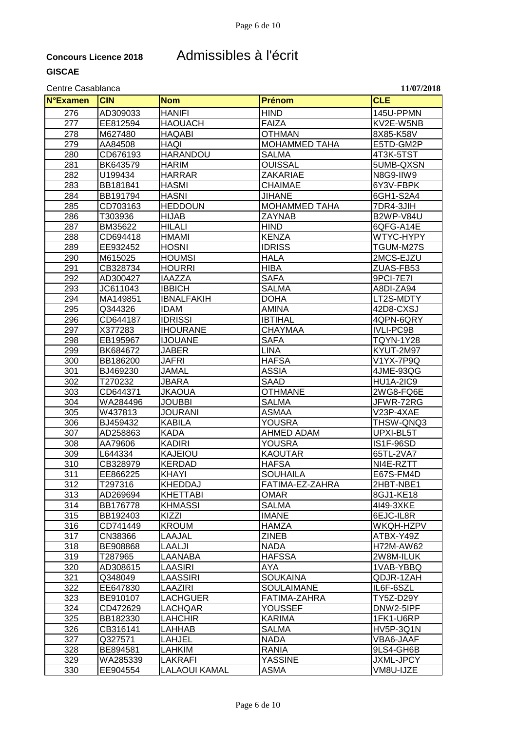### **Concours Licence 2018** Admissibles à l'écrit

#### Centre Casablanca **11/07/2018**

**N°Examen CIN Nom Prénom CLE** 276 AD309033 HANIFI HIND 145U-PPMN 277 EE812594 HAOUACH FAIZA KV2E-W5NB 278 |M627480 |HAQABI | OTHMAN | 8X85-K58V 279 AA84508 HAQI MOHAMMED TAHA E5TD-GM2P 280 CD676193 HARANDOU SALMA 4T3K-5TST 281 BK643579 HARIM | OUISSAL | 5UMB-QXSN 282 |U199434 |HARRAR | |ZAKARIAE | |N8G9-IIW9 283 BB181841 HASMI CHAIMAE 6Y3V-FBPK 6GH1-S2A4 285 CD703163 HEDDOUN MOHAMMED TAHA 7DR4-3JIH 286 |T303936 |HIJAB |ZAYNAB |B2WP-V84U 287 |BM35622 |HILALI |HIND | |6QFG-A14E 288 CD694418 HMAMI KENZA WTYC-HYPY 289 |EE932452 |HOSNI |IDRISS |TGUM-M27S 290 M615025 HOUMSI HALA 2MCS-EJZU 291 CB328734 HOURRI HIBA ZUAS-FB53 292 |AD300427 |IAAZZA | SAFA | SAFA | 9PCI-7E7I 293 | JC611043 | IBBICH | SALMA | A8DI-ZA94 294 MA149851 IBNALFAKIH DOHA LT2S-MDTY 295 Q344326 IDAM AMINA 42D8-CXSJ 296 CD644187 IDRISSI IBTIHAL 4QPN-6QRY 297 X377283 IHOURANE CHAYMAA IVLI-PC9B<br>298 EB195967 IJJOUANE SAFA TOYN-1Y2 298 EB195967 IJOUANE SAFA TQYN-1Y28 299 BK684672 JABER LINA KYUT-2M97 300 BB186200 JAFRI HAFSA V1YX-7P9Q 301 BJ469230 JAMAL ASSIA 4JME-93QG 302 | T270232 | JBARA | SAAD |HU1A-2IC9 303 CD644371 JKAOUA OTHMANE 2WG8-FQ6E 304 WA284496 JOUBBI SALMA JFWR-72RG 305 W437813 JOURANI ASMAA V23P-4XAE 306 BJ459432 KABILA YOUSRA THSW-QNQ3 307 |AD258863 |KADA |AHMED\_ADAM |UPXI-BL5T<br>308 |AA79606 |KADIRI |YOUSRA |IS1F-96SD 308 |AA79606 |KADIRI |YOUSRA |KIT-96SD 309 L644334 KAJEIOU KAOUTAR 65TL-2VA7 310 CB328979 KERDAD HAFSA NI4E-RZTT 311 EE866225 KHAYI SOUHAILA E67S-FM4D 312 T297316 KHEDDAJ FATIMA-EZ-ZAHRA 2HBT-NBE1 313 AD269694 KHETTABI | OMAR | 8GJ1-KE18 <u>314 |BB176778 |KHMASSI | |SALMA | |4149-3XKE</u><br>115 |BB192403 |KIZZI | |IMANE | |6EJC-IL8R 315 BB192403 KIZZI | IMANE | 6EJC-IL8R 316 CD741449 KROUM HAMZA WKQH-HZPV 317 CN38366 LAAJAL ZINEB ATBX-Y49Z <u>818 |BE908868 |LAALJI | |NADA | |H72M-AW62</u><br>119 |T287965 |LAANABA | |HAFSSA |2W8M-ILUK 319 T287965 LAANABA HAFSSA 2W8M-ILUK 320 AD308615 LAASIRI AYA 1VAB-YBBQ 321 Q348049 LAASSIRI SOUKAINA QDJR-1ZAH 322 EE647830 LAAZIRI SOULAIMANE IL6F-6SZL 323 BE910107 LACHGUER FATIMA-ZAHRA TY5Z-D29Y 324 CD472629 LACHQAR YOUSSEF DNW2-5IPF 325 BB182330 LAHCHIR KARIMA 1FK1-U6RP 326 |CB316141 |LAHHAB |SALMA |HV5P-3Q1N 327 Q327571 LAHJEL NADA VBA6-JAAF 328 BE894581 LAHKIM RANIA 9LS4-GH6B 329 WA285339 LAKRAFI YASSINE JXML-JPCY 330 EE904554 LALAOUI KAMAL ASMA VM8U-IJZE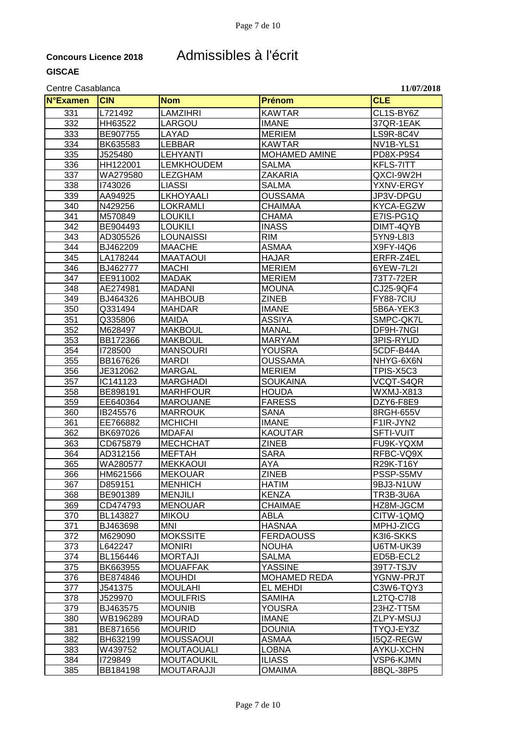### **Concours Licence 2018** Admissibles à l'écrit

#### Centre Casablanca **11/07/2018**

**N°Examen CIN Nom Prénom CLE** 331 |L721492 |LAMZIHRI |KAWTAR |CL1S-BY6Z 332 HH63522 LARGOU IMANE 332 HH63522 333 BE907755 LAYAD MERIEM LS9R-8C4V 334 |BK635583 |LEBBAR |KAWTAR |NV1B-YLS1<br>335 |J525480 |LEHYANTI |MOHA<u>MED\_AMINE |PD8X-P9S4</u> 335 J525480 LEHYANTI MOHAMED AMINE PD8X-P9S4 336 HH122001 LEMKHOUDEM SALMA KFLS-7ITT 337 WA279580 LEZGHAM ZAKARIA QXCI-9W2H 338 |1743026 |LIASSI |SALMA |YXNV-ERGY<br>339 |AA94925 |LKHOYAALI |OUSSAMA |JP3V-DPGU JP3V-DPGU 340 N429256 LOKRAMLI CHAIMAA KYCA-EGZW 341 |M570849 |LOUKILI |CHAMA | |E7IS-PG1Q 342 |BE904493 |LOUKILI |INASS | DIMT-4QYB 343 AD305526 LOUNAISSI RIM 5YN9-L8I3 344 **BJ462209 MAACHE ASMAA** X9FY-I4Q6 345 LA178244 MAATAOUI HAJAR ERFR-Z4EL 346 BJ462777 MACHI MERIEM 6YEW-7L2I 347 |EE911002 |MADAK | MERIEM | 73T7-72ER 348 AE274981 MADANI MOUNA CJ25-9QF4 349 BJ464326 MAHBOUB ZINEB FY88-7CIU 350 | Q331494 | MAHDAR | IMANE | SB6A-YEK3 351 Q335806 MAIDA ASSIYA SMPC-QK7L 352 M628497 MAKBOUL MANAL DF9H-7NGI 353 BB172366 MAKBOUL MARYAM 3PIS-RYUD 354 I728500 MANSOURI YOUSRA 5CDF-B44A 355 BB167626 MARDI OUSSAMA NHYG-6X6N 356 JE312062 MARGAL MERIEM TPIS-X5C3 357 IC141123 MARGHADI SOUKAINA VCQT-S4QR 358 BE898191 MARHFOUR HOUDA WXMJ-X813 359 EE640364 MAROUANE FARESS DZY6-F8E9 360 IB245576 MARROUK SANA 8RGH-655V<br>361 IEE766882 MCHICHI IMANE IMANE F1IR-JYN2 361 | EE766882 | MCHICHI | IMANE | HT1IR-JYN2 362 |BK697026 |MDAFAI |KAOUTAR |SFTI-VUIT 363 |CD675879 |MECHCHAT |ZINEB |FU9K-YQXM 364 |AD312156 |MEFTAH | |SARA | |RFBC-VQ9X 365 WA280577 MEKKAOUI AYA R29K-T16Y 366 HM621566 MEKOUAR ZINEB PSSP-S5MV 367 D859151 MENHICH HATIM 9BJ3-N1UW 368 |BE901389 |MENJILI |KENZA |KENZA |TR3B-3U6A 369 CD474793 MENOUAR CHAIMAE HZ8M-JGCM 370 BL143827 MIKOU ABLA CITW-1QMQ 371 BJ463698 MNI HASNAA MPHJ-ZICG 372 M629090 MOKSSITE FERDAOUSS K3I6-SKKS 373 L642247 |MONIRI | |NOUHA | |U6TM-UK39<br>374 | BL156446 |MORTAJI | |SALMA | |ED5B-ECL2 374 BL156446 MORTAJI SALMA ED5B-ECL2 375 BK663955 MOUAFFAK |YASSINE | 139T7-TSJV 376 BE874846 MOUHDI MOHAMED REDA YGNW-PRJT 377 J541375 MOULAHI EL MEHDI C3W6-TQY3 378 | J529970 | MOULFRIS | SAMIHA | L2TQ-C7I8 379 BJ463575 MOUNIB YOUSRA 23HZ-TT5M 380 WB196289 MOURAD IMANE ZLPY-MSUJ 381 BE871656 MOURID DOUNIA TYQJ-EY3Z 382 BH632199 MOUSSAOUI |ASMAA |I5QZ-REGW 383 |W439752 |MOUTAOUALI |LOBNA |AYKU-XCHN 384 |I729849 |MOUTAOUKIL |ILIASS | VSP6-KJMN 385 BB184198 MOUTARAJJI OMAIMA 8BQL-38P5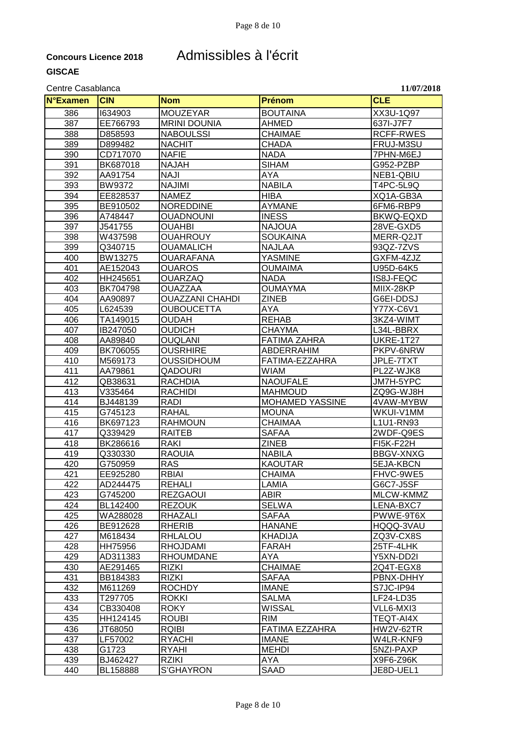## **Concours Licence 2018** Admissibles à l'écrit

| <b>N°Examen</b> | <b>CIN</b>           | <b>Nom</b>                    | <b>Prénom</b>                | <b>CLE</b>             |
|-----------------|----------------------|-------------------------------|------------------------------|------------------------|
| 386             | 1634903              | <b>MOUZEYAR</b>               | <b>BOUTAINA</b>              | XX3U-1Q97              |
| 387             | EE766793             | <b>MRINI DOUNIA</b>           | <b>AHMED</b>                 | 637I-J7F7              |
| 388             | D858593              | <b>NABOULSSI</b>              | <b>CHAIMAE</b>               | <b>RCFF-RWES</b>       |
| 389             | D899482              | <b>NACHIT</b>                 | <b>CHADA</b>                 | FRUJ-M3SU              |
| 390             | CD717070             | <b>NAFIE</b>                  | <b>NADA</b>                  | 7PHN-M6EJ              |
| 391             | BK687018             | <b>NAJAH</b>                  | <b>SIHAM</b>                 | G952-PZBP              |
| 392             | AA91754              | <b>NAJI</b>                   | AYA                          | NEB1-QBIU              |
| 393             | <b>BW9372</b>        | <b>NAJIMI</b>                 | <b>NABILA</b>                | T4PC-5L9Q              |
| 394             | EE828537             | <b>NAMEZ</b>                  | <b>HIBA</b>                  | XQ1A-GB3A              |
| 395             | BE910502             | <b>NOREDDINE</b>              | <b>AYMANE</b>                | 6FM6-RBP9              |
| 396             | A748447              | <b>OUADNOUNI</b>              | <b>INESS</b>                 | BKWQ-EQXD              |
| 397             | J541755              | <b>OUAHBI</b>                 | <b>NAJOUA</b>                | 28VE-GXD5              |
| 398             | W437598              | <b>OUAHROUY</b>               | <b>SOUKAINA</b>              | MERR-Q2JT              |
| 399             | Q340715              | <b>OUAMALICH</b>              | <b>NAJLAA</b>                | 93QZ-7ZVS              |
| 400             | BW13275              | <b>OUARAFANA</b>              | <b>YASMINE</b>               | GXFM-4ZJZ              |
| 401             | AE152043             | <b>OUAROS</b>                 | <b>OUMAIMA</b>               | U95D-64K5              |
| 402             | HH245651             | <b>OUARZAQ</b>                | <b>NADA</b>                  | IS8J-FEQC              |
| 403             | BK704798             | <b>OUAZZAA</b>                | <b>OUMAYMA</b>               | MIIX-28KP              |
| 404             | AA90897              | <b>OUAZZANI CHAHDI</b>        | <b>ZINEB</b>                 | G6EI-DDSJ              |
| 405             | L624539              | <b>OUBOUCETTA</b>             | <b>AYA</b>                   | Y77X-C6V1              |
| 406             | TA149015             | <b>OUDAH</b>                  | <b>REHAB</b>                 | 3KZ4-WIMT              |
| 407             | IB247050             | <b>OUDICH</b>                 | <b>CHAYMA</b>                | L34L-BBRX              |
| 408             | AA89840              | <b>OUQLANI</b>                | <b>FATIMA ZAHRA</b>          | <b>UKRE-1T27</b>       |
| 409             | BK706055             | <b>OUSRHIRE</b>               | ABDERRAHIM                   | PKPV-6NRW              |
| 410             | M569173              | <b>OUSSIDHOUM</b>             | FATIMA-EZZAHRA               | JPLE-7TXT              |
| 411             | AA79861              | <b>QADOURI</b>                | <b>WIAM</b>                  | PL2Z-WJK8              |
| 412             | QB38631              | <b>RACHDIA</b>                | <b>NAOUFALE</b>              | JM7H-5YPC              |
| 413             | V335464              | <b>RACHIDI</b>                | <b>MAHMOUD</b>               | ZQ9G-WJ8H              |
| 414             | BJ448139             | <b>RADI</b>                   | <b>MOHAMED YASSINE</b>       | 4VAW-MYBW              |
| 415             | G745123              | <b>RAHAL</b>                  | <b>MOUNA</b>                 | WKUI-V1MM              |
| 416             | BK697123             | <b>RAHMOUN</b>                | <b>CHAIMAA</b>               | L1U1-RN93              |
| 417             | Q339429              | <b>RAITEB</b>                 | <b>SAFAA</b>                 | 2WDF-Q9ES              |
| 418             | BK286616             | <b>RAKI</b>                   | <b>ZINEB</b>                 | <b>FI5K-F22H</b>       |
| 419             | Q330330              | <b>RAOUIA</b>                 | <b>NABILA</b>                | <b>BBGV-XNXG</b>       |
| 420             | G750959              | <b>RAS</b>                    | <b>KAOUTAR</b>               | 5EJA-KBCN              |
| 421             | EE925280             | <b>RBIAI</b>                  | <b>CHAIMA</b>                | FHVC-9WE5              |
| 422             | AD244475             | REHALI                        | LAMIA                        | G6C7-J5SF              |
| 423             | G745200              | <b>REZGAOUI</b>               | <b>ABIR</b>                  | MLCW-KMMZ              |
| 424             | BL142400             | <b>REZOUK</b>                 | <b>SELWA</b>                 | LENA-BXC7              |
| 425             | WA288028             | <b>RHAZALI</b>                | <b>SAFAA</b>                 | PWWE-9T6X              |
| 426             | BE912628             | <b>RHERIB</b>                 | <b>HANANE</b>                | HQQQ-3VAU              |
| 427             | M618434              | RHLALOU                       | <b>KHADIJA</b>               | ZQ3V-CX8S              |
| 428             | HH75956              | RHOJDAMI                      | <b>FARAH</b>                 | 25TF-4LHK              |
| 429             | AD311383             | <b>RHOUMDANE</b>              | AYA                          | Y5XN-DD2I              |
| 430             | AE291465             | <b>RIZKI</b>                  | <b>CHAIMAE</b>               | 2Q4T-EGX8              |
| 431             | BB184383             | <b>RIZKI</b>                  | <b>SAFAA</b>                 | PBNX-DHHY              |
| 432             | M611269              | <b>ROCHDY</b>                 | <b>IMANE</b>                 | S7JC-IP94              |
| 433             | T297705              | <b>ROKKI</b>                  | <b>SALMA</b>                 | LF24-LD35              |
| 434             | CB330408             | <b>ROKY</b>                   | <b>WISSAL</b>                | VLL6-MXI3              |
| 435             | HH124145             | <b>ROUBI</b>                  | <b>RIM</b>                   | TEQT-AI4X              |
| 436<br>437      | JT68050              | <b>RQIBI</b><br><b>RYACHI</b> | FATIMA EZZAHRA               | HW2V-62TR              |
| 438             | LF57002<br>G1723     | <b>RYAHI</b>                  | <b>IMANE</b><br><b>MEHDI</b> | W4LR-KNF9<br>5NZI-PAXP |
|                 |                      |                               |                              |                        |
|                 |                      |                               |                              |                        |
| 439<br>440      | BJ462427<br>BL158888 | <b>RZIKI</b><br>S'GHAYRON     | AYA<br>SAAD                  | X9F6-Z96K<br>JE8D-UEL1 |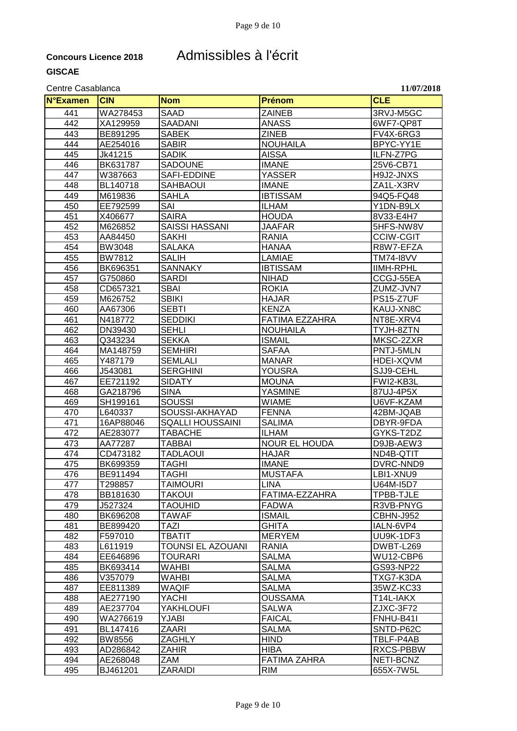### **Concours Licence 2018** Admissibles à l'écrit

#### Centre Casablanca **11/07/2018**

**N°Examen CIN Nom Prénom CLE** 441 WA278453 SAAD ZAINEB 3RVJ-M5GC XA129959 SAADANI ANASS 6WF7-QP8T 443 BE891295 SABEK ZINEB FV4X-6RG3 444 AE254016 SABIR NOUHAILA BPYC-YY1E 445 | Jk41215 | SADIK | AISSA | ILFN-Z7PG 446 |BK631787 |SADOUNE |IMANE |25V6-CB71 W387663 SAFI-EDDINE YASSER H9J2-JNXS BL140718 SAHBAOUI IMANE ZA1L-X3RV M619836 SAHLA IBTISSAM 94Q5-FQ48 EE792599 SAI ILHAM Y1DN-B9LX X406677 SAIRA HOUDA 8V33-E4H7 M626852 SAISSI HASSANI JAAFAR 5HFS-NW8V AA84450 SAKHI RANIA CCIW-CGIT 454 |BW3048 |SALAKA | |HANAA | |R8W7-EFZA BW7812 SALIH LAMIAE TM74-I8VV 456 |BK696351 |SANNAKY | |IBTISSAM | |IIMH-RPHL G750860 SARDI NIHAD CCGJ-55EA 458 | CD657321 <u>| SBAI | ROKIA</u> | ROKIA | ZUMZ-JVN7 M626752 SBIKI HAJAR PS15-Z7UF AA67306 SEBTI KENZA KAUJ-XN8C N418772 SEDDIKI FATIMA EZZAHRA NT8E-XRV4 <mark>162 SEHLI NOUHAILA TYJH-8ZTN NOUHAILA</mark> TYJH-8ZTN<br>1494 SEKKA SEKKA SEKKA SEKKA SEKKA SEKKA SEKKA SEKKA SEKKA SEKKA SEKKA SEK Q343234 SEKKA ISMAIL MKSC-2ZXR MA148759 SEMHIRI SAFAA PNTJ-5MLN Y487179 SEMLALI MANAR HDEI-XQVM J543081 SERGHINI YOUSRA SJJ9-CEHL EE721192 SIDATY MOUNA FWI2-KB3L GA218796 SINA YASMINE 87UJ-4P5X SH199161 SOUSSI WIAME U6VF-KZAM L640337 SOUSSI-AKHAYAD FENNA 42BM-JQAB 16AP88046 SQALLI HOUSSAINI SALIMA DBYR-9FDA 472 | AE283077 | TABACHE |ILHAM | GYKS-T2DZ AA77287 TABBAI NOUR EL HOUDA D9JB-AEW3 CD473182 TADLAOUI HAJAR ND4B-QTIT 475 BK699359 TAGHI |IMANE |IMANE DVRC-NND9 476 BE911494 TAGHI MUSTAFA LBI1-XNU9 T298857 TAIMOURI LINA U64M-I5D7 BB181630 TAKOUI FATIMA-EZZAHRA TPBB-TJLE J527324 TAOUHID FADWA R3VB-PNYG BK696208 TAWAF ISMAIL CBHN-J952 481 BE899420 TAZI GHITA IALN-6VP4 F597010 TBATIT MERYEM UU9K-1DF3 **L611919 TOUNSI EL AZOUANI RANIA LEGEN DE LAGOUAL DE LOUIST-L269**  EE646896 TOURARI SALMA WU12-CBP6 BK693414 WAHBI SALMA GS93-NP22 V357079 WAHBI SALMA TXG7-K3DA 487 | EE811389 | WAQIF | SALMA | 35WZ-KC33<br>488 | AE277190 | YACHI | OUSSAMA | T14L-IAKX 488 |AE277190 |YACHI |OUSSAMA | |T14L-IAKX AE237704 YAKHLOUFI SALWA ZJXC-3F72 WA276619 YJABI FAICAL FNHU-B41I BL147416 ZAARI SALMA SNTD-P62C 492 BW8556 ZAGHLY HIND TBLF-P4AB 493 |AD286842 |ZAHIR |HIBA |HIBA |RXCS-PBBW AE268048 ZAM FATIMA ZAHRA NETI-BCNZ BJ461201 ZARAIDI RIM 655X-7W5L